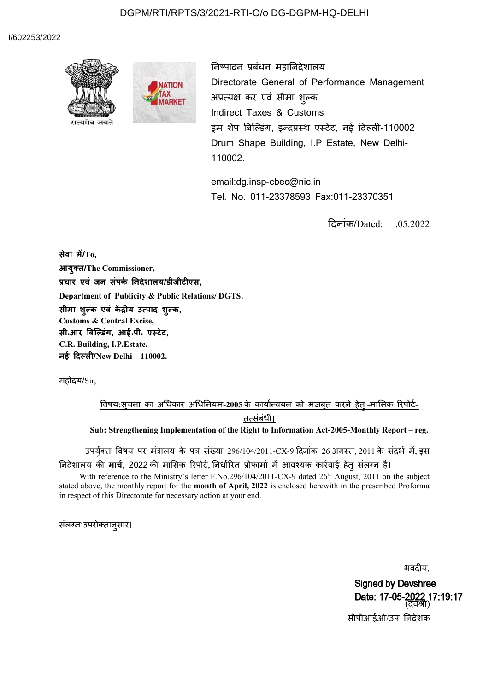### DGPM/RTI/RPTS/3/2021-RTI-O/o DG-DGPM-HQ-DELHI

#### I/602253/2022



निष्पादन प्रबंधन महानिदेशालय Directorate General of Performance Management अप्रत्यक्ष कर एवं सीमा शुल्क Indirect Taxes & Customs ड्रम शेप बिल्डिंग, इन्द्रप्रस्थ एस्टेट, नई दिल्ली-110002 Drum Shape Building, I.P Estate, New Delhi– 110002.

email:dg.insp-cbec@nic.in Tel. No. 011-23378593 Fax:011-23370351

दिनांक/Dated: .05.2022

**सेवा में/To, आयुक्त/The Commissioner, प्रचार एवं जन संपर्क निदेशालय/डीजीटीएस, Department of Publicity & Public Relations/ DGTS, सीमा शुल्र्क एवं र्केंद्रीय उत्पाद शुल्र्क, Customs & Central Excise, सी॰आर बि'ल्डिंग, आई॰पी॰ एस्टेट, C.R. Building, I.P.Estate, नई दिल्ली/New Delhi – 110002.**

महोदय/Sir,

<u>विषय:सूचना का अधिकार अधिनियम-2005 के कार्यान्वयन को मजबूत करने हेतु मासिक रिपोर्ट-</u> तत्संबंधी। **Sub: Strengthening Implementation of the Right to Information Act-2005-Monthly Report – reg.**

उपर्युक्त विषय पर मंत्रालय के पत्र संख्या 296/104/2011-CX-9 दिनांक 26 अगस्त, 2011 के संदर्भ में, इस निदेशालय की **मार्च**, 2022 की मासिक रिपोर्ट, निर्धारित प्रोफामो में आवश्यक कार्रवाई हेतु संलग्न है।

With reference to the Ministry's letter F.No.296/104/2011-CX-9 dated 26<sup>th</sup> August, 2011 on the subject stated above, the monthly report for the **month of April, 2022** is enclosed herewith in the prescribed Proforma in respect of this Directorate for necessary action at your end.

सलग्न:उपरोक्तानुसार।

र्भवदीय,

**Signed by Devshree** Date: 17-05-2022 17:19:17 सीपीआईओ/उप निदेशक